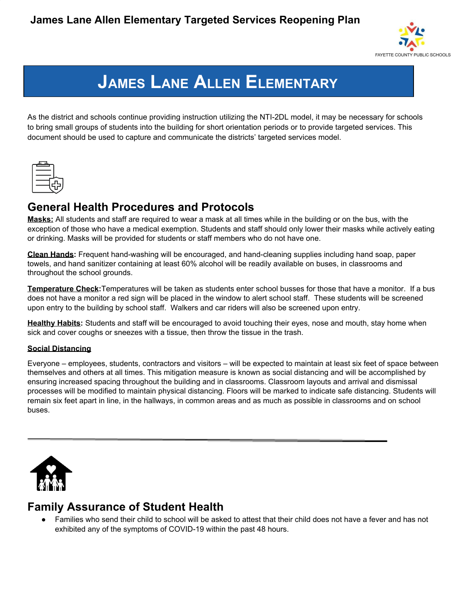

# **JAMES LANE ALLEN ELEMENTARY**

As the district and schools continue providing instruction utilizing the NTI-2DL model, it may be necessary for schools to bring small groups of students into the building for short orientation periods or to provide targeted services. This document should be used to capture and communicate the districts' targeted services model.



# **General Health Procedures and Protocols**

**Masks:** All students and staff are required to wear a mask at all times while in the building or on the bus, with the exception of those who have a medical exemption. Students and staff should only lower their masks while actively eating or drinking. Masks will be provided for students or staff members who do not have one.

**Clean Hands:** Frequent hand-washing will be encouraged, and hand-cleaning supplies including hand soap, paper towels, and hand sanitizer containing at least 60% alcohol will be readily available on buses, in classrooms and throughout the school grounds.

**Temperature Check:**Temperatures will be taken as students enter school busses for those that have a monitor. If a bus does not have a monitor a red sign will be placed in the window to alert school staff. These students will be screened upon entry to the building by school staff. Walkers and car riders will also be screened upon entry.

**Healthy Habits:** Students and staff will be encouraged to avoid touching their eyes, nose and mouth, stay home when sick and cover coughs or sneezes with a tissue, then throw the tissue in the trash.

#### **Social Distancing**

Everyone – employees, students, contractors and visitors – will be expected to maintain at least six feet of space between themselves and others at all times. This mitigation measure is known as social distancing and will be accomplished by ensuring increased spacing throughout the building and in classrooms. Classroom layouts and arrival and dismissal processes will be modified to maintain physical distancing. Floors will be marked to indicate safe distancing. Students will remain six feet apart in line, in the hallways, in common areas and as much as possible in classrooms and on school buses.



## **Family Assurance of Student Health**

Families who send their child to school will be asked to attest that their child does not have a fever and has not exhibited any of the symptoms of COVID-19 within the past 48 hours.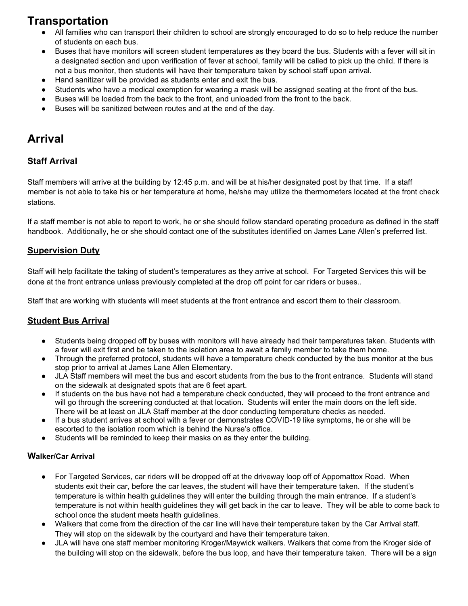# **Transportation**

- All families who can transport their children to school are strongly encouraged to do so to help reduce the number of students on each bus.
- Buses that have monitors will screen student temperatures as they board the bus. Students with a fever will sit in a designated section and upon verification of fever at school, family will be called to pick up the child. If there is not a bus monitor, then students will have their temperature taken by school staff upon arrival.
- Hand sanitizer will be provided as students enter and exit the bus.
- Students who have a medical exemption for wearing a mask will be assigned seating at the front of the bus.
- Buses will be loaded from the back to the front, and unloaded from the front to the back.
- Buses will be sanitized between routes and at the end of the day.

# **Arrival**

## **Staff Arrival**

Staff members will arrive at the building by 12:45 p.m. and will be at his/her designated post by that time. If a staff member is not able to take his or her temperature at home, he/she may utilize the thermometers located at the front check stations.

If a staff member is not able to report to work, he or she should follow standard operating procedure as defined in the staff handbook. Additionally, he or she should contact one of the substitutes identified on James Lane Allen's preferred list.

## **Supervision Duty**

Staff will help facilitate the taking of student's temperatures as they arrive at school. For Targeted Services this will be done at the front entrance unless previously completed at the drop off point for car riders or buses..

Staff that are working with students will meet students at the front entrance and escort them to their classroom.

### **Student Bus Arrival**

- Students being dropped off by buses with monitors will have already had their temperatures taken. Students with a fever will exit first and be taken to the isolation area to await a family member to take them home.
- Through the preferred protocol, students will have a temperature check conducted by the bus monitor at the bus stop prior to arrival at James Lane Allen Elementary.
- JLA Staff members will meet the bus and escort students from the bus to the front entrance. Students will stand on the sidewalk at designated spots that are 6 feet apart.
- If students on the bus have not had a temperature check conducted, they will proceed to the front entrance and will go through the screening conducted at that location. Students will enter the main doors on the left side. There will be at least on JLA Staff member at the door conducting temperature checks as needed.
- If a bus student arrives at school with a fever or demonstrates COVID-19 like symptoms, he or she will be escorted to the isolation room which is behind the Nurse's office.
- Students will be reminded to keep their masks on as they enter the building.

#### **Walker/Car Arrival**

- For Targeted Services, car riders will be dropped off at the driveway loop off of Appomattox Road. When students exit their car, before the car leaves, the student will have their temperature taken. If the student's temperature is within health guidelines they will enter the building through the main entrance. If a student's temperature is not within health guidelines they will get back in the car to leave. They will be able to come back to school once the student meets health guidelines.
- Walkers that come from the direction of the car line will have their temperature taken by the Car Arrival staff. They will stop on the sidewalk by the courtyard and have their temperature taken.
- *●* JLA will have one staff member monitoring Kroger/Maywick walkers. Walkers that come from the Kroger side of the building will stop on the sidewalk, before the bus loop, and have their temperature taken. There will be a sign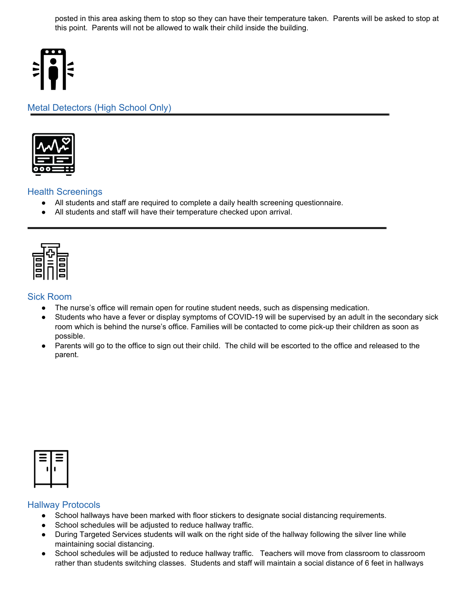posted in this area asking them to stop so they can have their temperature taken. Parents will be asked to stop at this point. Parents will not be allowed to walk their child inside the building.



## Metal Detectors (High School Only)



#### Health Screenings

- All students and staff are required to complete a daily health screening questionnaire.
- All students and staff will have their temperature checked upon arrival.



#### Sick Room

- The nurse's office will remain open for routine student needs, such as dispensing medication.
- Students who have a fever or display symptoms of COVID-19 will be supervised by an adult in the secondary sick room which is behind the nurse's office. Families will be contacted to come pick-up their children as soon as possible.
- Parents will go to the office to sign out their child. The child will be escorted to the office and released to the parent.



#### Hallway Protocols

- School hallways have been marked with floor stickers to designate social distancing requirements.
- School schedules will be adjusted to reduce hallway traffic.
- During Targeted Services students will walk on the right side of the hallway following the silver line while maintaining social distancing.
- School schedules will be adjusted to reduce hallway traffic. Teachers will move from classroom to classroom rather than students switching classes. Students and staff will maintain a social distance of 6 feet in hallways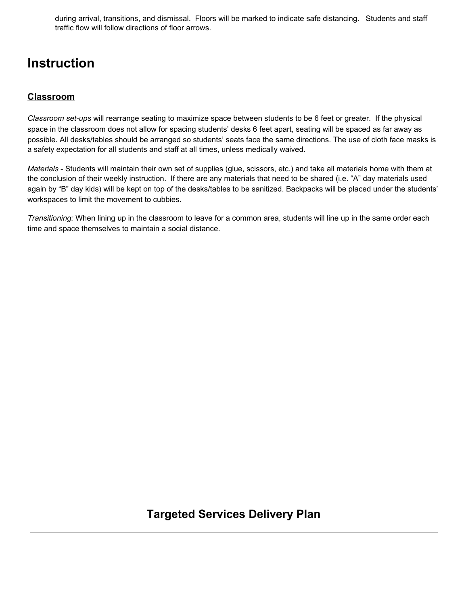during arrival, transitions, and dismissal. Floors will be marked to indicate safe distancing. Students and staff traffic flow will follow directions of floor arrows.

# **Instruction**

## **Classroom**

*Classroom set-ups* will rearrange seating to maximize space between students to be 6 feet or greater. If the physical space in the classroom does not allow for spacing students' desks 6 feet apart, seating will be spaced as far away as possible. All desks/tables should be arranged so students' seats face the same directions. The use of cloth face masks is a safety expectation for all students and staff at all times, unless medically waived.

*Materials* - Students will maintain their own set of supplies (glue, scissors, etc.) and take all materials home with them at the conclusion of their weekly instruction. If there are any materials that need to be shared (i.e. "A" day materials used again by "B" day kids) will be kept on top of the desks/tables to be sanitized. Backpacks will be placed under the students' workspaces to limit the movement to cubbies.

*Transitioning:* When lining up in the classroom to leave for a common area, students will line up in the same order each time and space themselves to maintain a social distance.

## **Targeted Services Delivery Plan**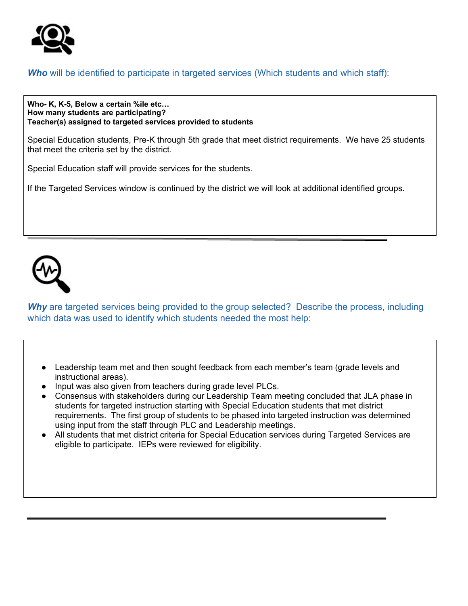

## *Who* will be identified to participate in targeted services (Which students and which staff):

**Who- K, K-5, Below a certain %ile etc… How many students are participating? Teacher(s) assigned to targeted services provided to students**

Special Education students, Pre-K through 5th grade that meet district requirements. We have 25 students that meet the criteria set by the district.

Special Education staff will provide services for the students.

If the Targeted Services window is continued by the district we will look at additional identified groups.



**Why** are targeted services being provided to the group selected? Describe the process, including which data was used to identify which students needed the most help:

- Leadership team met and then sought feedback from each member's team (grade levels and instructional areas).
- Input was also given from teachers during grade level PLCs.
- Consensus with stakeholders during our Leadership Team meeting concluded that JLA phase in students for targeted instruction starting with Special Education students that met district requirements. The first group of students to be phased into targeted instruction was determined using input from the staff through PLC and Leadership meetings.
- All students that met district criteria for Special Education services during Targeted Services are eligible to participate. IEPs were reviewed for eligibility.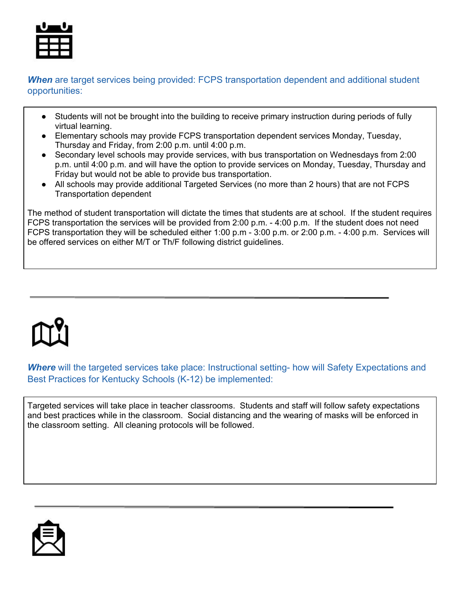

**When** are target services being provided: FCPS transportation dependent and additional student opportunities:

- Students will not be brought into the building to receive primary instruction during periods of fully virtual learning.
- Elementary schools may provide FCPS transportation dependent services Monday, Tuesday, Thursday and Friday, from 2:00 p.m. until 4:00 p.m.
- Secondary level schools may provide services, with bus transportation on Wednesdays from 2:00 p.m. until 4:00 p.m. and will have the option to provide services on Monday, Tuesday, Thursday and Friday but would not be able to provide bus transportation.
- All schools may provide additional Targeted Services (no more than 2 hours) that are not FCPS Transportation dependent

The method of student transportation will dictate the times that students are at school. If the student requires FCPS transportation the services will be provided from 2:00 p.m. - 4:00 p.m. If the student does not need FCPS transportation they will be scheduled either 1:00 p.m - 3:00 p.m. or 2:00 p.m. - 4:00 p.m. Services will be offered services on either M/T or Th/F following district guidelines.



*Where* will the targeted services take place: Instructional setting- how will Safety Expectations and Best Practices for Kentucky Schools (K-12) be implemented:

Targeted services will take place in teacher classrooms. Students and staff will follow safety expectations and best practices while in the classroom. Social distancing and the wearing of masks will be enforced in the classroom setting. All cleaning protocols will be followed.

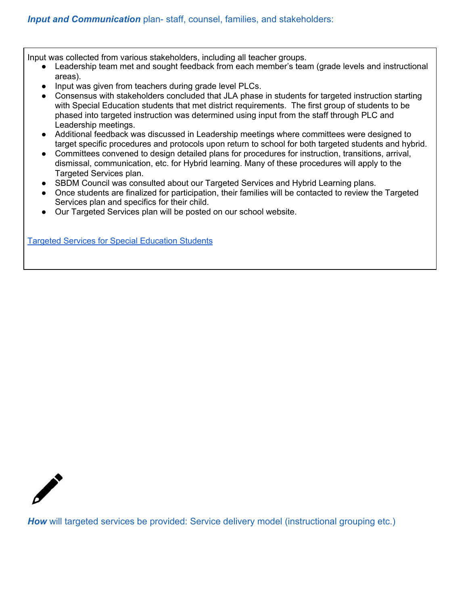Input was collected from various stakeholders, including all teacher groups.

- Leadership team met and sought feedback from each member's team (grade levels and instructional areas).
- Input was given from teachers during grade level PLCs.
- Consensus with stakeholders concluded that JLA phase in students for targeted instruction starting with Special Education students that met district requirements. The first group of students to be phased into targeted instruction was determined using input from the staff through PLC and Leadership meetings.
- Additional feedback was discussed in Leadership meetings where committees were designed to target specific procedures and protocols upon return to school for both targeted students and hybrid.
- Committees convened to design detailed plans for procedures for instruction, transitions, arrival, dismissal, communication, etc. for Hybrid learning. Many of these procedures will apply to the Targeted Services plan.
- SBDM Council was consulted about our Targeted Services and Hybrid Learning plans.
- Once students are finalized for participation, their families will be contacted to review the Targeted Services plan and specifics for their child.
- Our Targeted Services plan will be posted on our school website.

Targeted Services for Special [Education](https://docs.google.com/document/d/1geOYKlhrRLeko97gFdI6aRAgSVs5b6GRIC1ELqBmrac/edit?usp=sharing) Students



**How** will targeted services be provided: Service delivery model (instructional grouping etc.)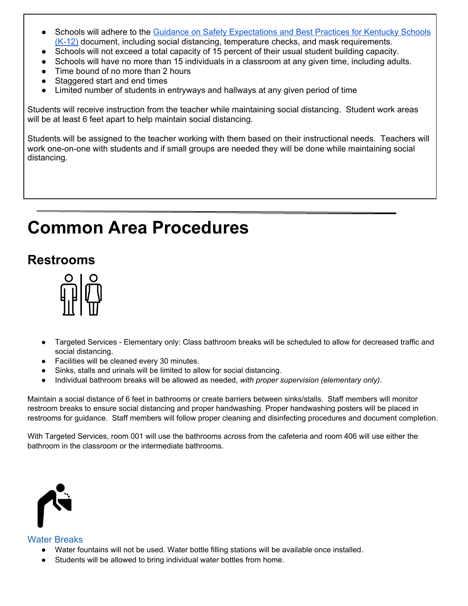- Schools will adhere to the Guidance on Safety [Expectations](https://education.ky.gov/comm/Documents/Safety%20Expectations_FINAL%20DOC.pdf) and Best Practices for Kentucky Schools [\(K-12\)](https://education.ky.gov/comm/Documents/Safety%20Expectations_FINAL%20DOC.pdf) document, including social distancing, temperature checks, and mask requirements.
- Schools will not exceed a total capacity of 15 percent of their usual student building capacity.
- Schools will have no more than 15 individuals in a classroom at any given time, including adults.
- Time bound of no more than 2 hours
- Staggered start and end times
- Limited number of students in entryways and hallways at any given period of time

Students will receive instruction from the teacher while maintaining social distancing. Student work areas will be at least 6 feet apart to help maintain social distancing.

Students will be assigned to the teacher working with them based on their instructional needs. Teachers will work one-on-one with students and if small groups are needed they will be done while maintaining social distancing.

# **Common Area Procedures**

# **Restrooms**



- *●* Targeted Services Elementary only: Class bathroom breaks will be scheduled to allow for decreased traffic and social distancing.
- Facilities will be cleaned every 30 minutes.
- Sinks, stalls and urinals will be limited to allow for social distancing.
- Individual bathroom breaks will be allowed as needed, *with proper supervision (elementary only)*.

Maintain a social distance of 6 feet in bathrooms or create barriers between sinks/stalls. Staff members will monitor restroom breaks to ensure social distancing and proper handwashing. Proper handwashing posters will be placed in restrooms for guidance. Staff members will follow proper cleaning and disinfecting procedures and document completion.

With Targeted Services, room 001 will use the bathrooms across from the cafeteria and room 406 will use either the bathroom in the classroom or the intermediate bathrooms.



### Water Breaks

- Water fountains will not be used. Water bottle filling stations will be available once installed.
- Students will be allowed to bring individual water bottles from home.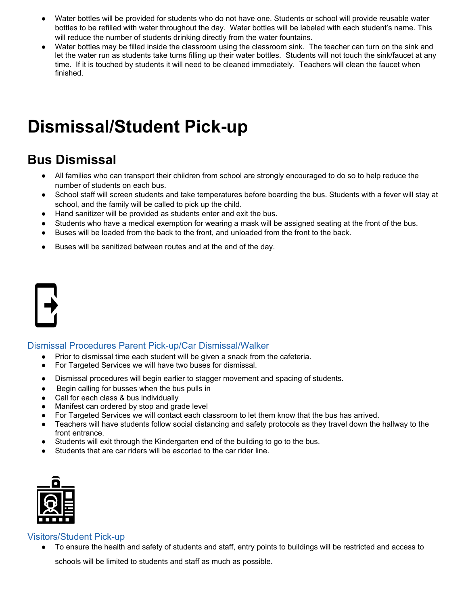- Water bottles will be provided for students who do not have one. Students or school will provide reusable water bottles to be refilled with water throughout the day. Water bottles will be labeled with each student's name. This will reduce the number of students drinking directly from the water fountains.
- Water bottles may be filled inside the classroom using the classroom sink. The teacher can turn on the sink and let the water run as students take turns filling up their water bottles. Students will not touch the sink/faucet at any time. If it is touched by students it will need to be cleaned immediately. Teachers will clean the faucet when finished.

# **Dismissal/Student Pick-up**

# **Bus Dismissal**

- All families who can transport their children from school are strongly encouraged to do so to help reduce the number of students on each bus.
- School staff will screen students and take temperatures before boarding the bus. Students with a fever will stay at school, and the family will be called to pick up the child.
- Hand sanitizer will be provided as students enter and exit the bus.
- Students who have a medical exemption for wearing a mask will be assigned seating at the front of the bus.
- Buses will be loaded from the back to the front, and unloaded from the front to the back.
- Buses will be sanitized between routes and at the end of the day.

#### Dismissal Procedures Parent Pick-up/Car Dismissal/Walker

- Prior to dismissal time each student will be given a snack from the cafeteria.
- For Targeted Services we will have two buses for dismissal.
- Dismissal procedures will begin earlier to stagger movement and spacing of students.
- Begin calling for busses when the bus pulls in
- Call for each class & bus individually
- Manifest can ordered by stop and grade level
- For Targeted Services we will contact each classroom to let them know that the bus has arrived.
- Teachers will have students follow social distancing and safety protocols as they travel down the hallway to the front entrance.
- Students will exit through the Kindergarten end of the building to go to the bus.
- Students that are car riders will be escorted to the car rider line.



#### Visitors/Student Pick-up

To ensure the health and safety of students and staff, entry points to buildings will be restricted and access to

schools will be limited to students and staff as much as possible.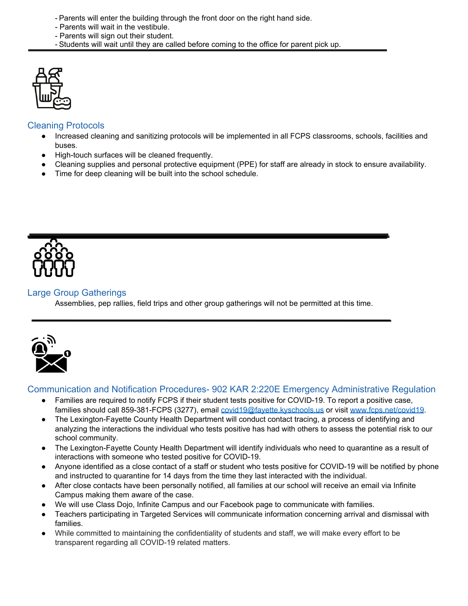- Parents will enter the building through the front door on the right hand side.
- Parents will wait in the vestibule.
- Parents will sign out their student.
- Students will wait until they are called before coming to the office for parent pick up.



### Cleaning Protocols

- Increased cleaning and sanitizing protocols will be implemented in all FCPS classrooms, schools, facilities and buses.
- High-touch surfaces will be cleaned frequently.
- Cleaning supplies and personal protective equipment (PPE) for staff are already in stock to ensure availability.
- Time for deep cleaning will be built into the school schedule.



#### Large Group Gatherings

Assemblies, pep rallies, field trips and other group gatherings will not be permitted at this time.



#### Communication and Notification Procedures- 902 KAR 2:220E Emergency Administrative Regulation

- Families are required to notify FCPS if their student tests positive for COVID-19. To report a positive case, families should call 859-381-FCPS (3277), email [covid19@fayette.kyschools.us](mailto:covid19@fayette.kyschools.us) or visit [www.fcps.net/covid19.](http://www.fcps.net/covid19)
- The Lexington-Fayette County Health Department will conduct contact tracing, a process of identifying and analyzing the interactions the individual who tests positive has had with others to assess the potential risk to our school community.
- The Lexington-Fayette County Health Department will identify individuals who need to quarantine as a result of interactions with someone who tested positive for COVID-19.
- Anyone identified as a close contact of a staff or student who tests positive for COVID-19 will be notified by phone and instructed to quarantine for 14 days from the time they last interacted with the individual.
- After close contacts have been personally notified, all families at our school will receive an email via Infinite Campus making them aware of the case.
- We will use Class Dojo, Infinite Campus and our Facebook page to communicate with families.
- Teachers participating in Targeted Services will communicate information concerning arrival and dismissal with families.
- While committed to maintaining the confidentiality of students and staff, we will make every effort to be transparent regarding all COVID-19 related matters.